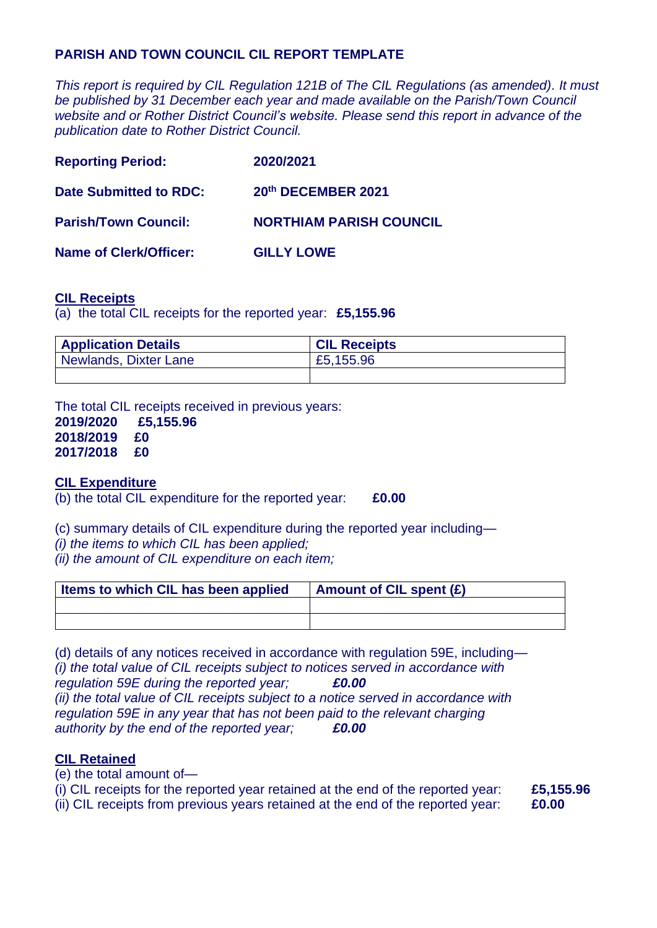## **PARISH AND TOWN COUNCIL CIL REPORT TEMPLATE**

*This report is required by CIL Regulation 121B of The CIL Regulations (as amended). It must be published by 31 December each year and made available on the Parish/Town Council website and or Rother District Council's website. Please send this report in advance of the publication date to Rother District Council.*

| <b>Reporting Period:</b>      | 2020/2021                      |
|-------------------------------|--------------------------------|
| <b>Date Submitted to RDC:</b> | 20th DECEMBER 2021             |
| <b>Parish/Town Council:</b>   | <b>NORTHIAM PARISH COUNCIL</b> |
| <b>Name of Clerk/Officer:</b> | <b>GILLY LOWE</b>              |

## **CIL Receipts**

(a) the total CIL receipts for the reported year: **£5,155.96**

| <b>Application Details</b> | <b>CIL Receipts</b> |
|----------------------------|---------------------|
| Newlands, Dixter Lane      | £5,155.96           |
|                            |                     |

The total CIL receipts received in previous years:

**2019/2020 £5,155.96 2018/2019 £0 2017/2018 £0**

## **CIL Expenditure**

(b) the total CIL expenditure for the reported year: **£0.00**

(c) summary details of CIL expenditure during the reported year including—

*(i) the items to which CIL has been applied;*

*(ii) the amount of CIL expenditure on each item;*

| Items to which CIL has been applied | <b>Amount of CIL spent (£)</b> |
|-------------------------------------|--------------------------------|
|                                     |                                |
|                                     |                                |

(d) details of any notices received in accordance with regulation 59E, including— *(i) the total value of CIL receipts subject to notices served in accordance with regulation 59E during the reported year; £0.00 (ii) the total value of CIL receipts subject to a notice served in accordance with regulation 59E in any year that has not been paid to the relevant charging authority by the end of the reported year; £0.00*

## **CIL Retained**

(e) the total amount of— (i) CIL receipts for the reported year retained at the end of the reported year: **£5,155.96**

(ii) CIL receipts from previous years retained at the end of the reported year: **£0.00**